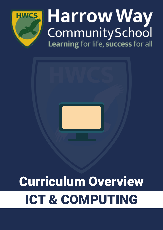

## Harrow Way<br>Community School<br>Learning for life, success for all



## Curriculum Overview ICT & COMPUTING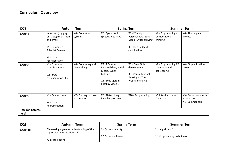## **Curriculum Overview**

| KS3                      | <b>Autumn Term</b>                                                                                                                   |                                    | <b>Spring Term</b>                                                                                          |                                                                                                            | <b>Summer Term</b>                                   |                                                           |
|--------------------------|--------------------------------------------------------------------------------------------------------------------------------------|------------------------------------|-------------------------------------------------------------------------------------------------------------|------------------------------------------------------------------------------------------------------------|------------------------------------------------------|-----------------------------------------------------------|
| Year <sub>7</sub>        | Induction (Logging<br>on, Google classroom<br>and email)<br>X1 - Computer<br><b>Scientist Careers</b><br>X5 - Data<br>representation | X6 - Computer<br>systems           | X6 - Spy school<br>spreadsheet tasks                                                                        | X3 - E Safety -<br>Personal data, Social<br>Media, Cyber bullying<br>X3 - Idea Badges for<br>certification | X6 - Programming -<br>Computational<br>thinking      | X6 - Theme park<br>project                                |
| Year <sub>8</sub>        | X1 - Computer<br>scientist careers<br>X6 - Data<br>representation - X5                                                               | X6 - Computing and<br>Networking - | X3 - E Safety -<br>Personal data, Social<br>Media, Cyber<br>bullying<br>X3 - Logo Quiz in<br>Excel by Video | X3 - Excel Quiz<br>development<br>X3 - Computational<br>thinking X1 Then<br>Programming X2                 | X8 - Programming X6<br>then sorts and<br>searches X2 | X4 - Stop animation<br>project.                           |
| Year 9                   | X1 - Escape room<br>X6 - Data<br>Representation                                                                                      | X7 - Getting to know<br>a computer | X6 - Networking<br>includes protocols.                                                                      | X10 - Programming                                                                                          | X7 Introduction to<br>Database                       | X3 - Security and Acts<br>- Cyber go.<br>X1 - Summer quiz |
| How can parents<br>help? |                                                                                                                                      |                                    |                                                                                                             |                                                                                                            |                                                      |                                                           |

| KS4     | <b>Autumn Term</b>                                                          | <b>Spring Term</b>  | <b>Summer Term</b>         |
|---------|-----------------------------------------------------------------------------|---------------------|----------------------------|
| Year 10 | Discovering a greater understanding of the<br>topics New Specification J277 | 1.4 System security | 2.1 Algorithms *           |
|         |                                                                             | 1.5 System software | 2.2 Programming techniques |
|         | X1 Escape Room                                                              |                     |                            |